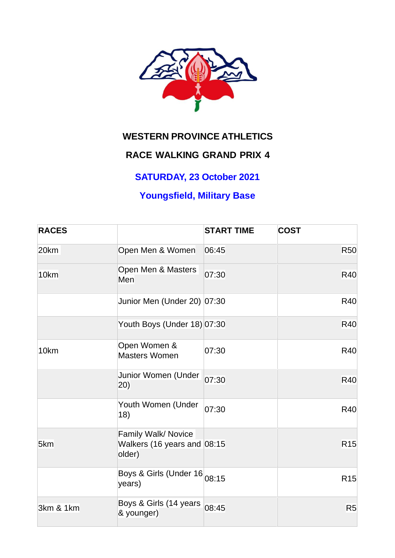

## **WESTERN PROVINCE ATHLETICS**

# **RACE WALKING GRAND PRIX 4**

### **SATURDAY, 23 October 2021**

## **Youngsfield, Military Base**

| <b>RACES</b> |                                                                 | <b>START TIME</b> | <b>COST</b>     |
|--------------|-----------------------------------------------------------------|-------------------|-----------------|
| 20km         | Open Men & Women                                                | 06:45             | <b>R50</b>      |
| 10km         | Open Men & Masters<br>Men                                       | 07:30             | <b>R40</b>      |
|              | Junior Men (Under 20) 07:30                                     |                   | <b>R40</b>      |
|              | Youth Boys (Under 18) 07:30                                     |                   | R40             |
| 10km         | Open Women &<br><b>Masters Women</b>                            | 07:30             | <b>R40</b>      |
|              | Junior Women (Under<br>(20)                                     | 07:30             | <b>R40</b>      |
|              | Youth Women (Under<br>18)                                       | 07:30             | <b>R40</b>      |
| 5km          | Family Walk/ Novice<br>Walkers (16 years and $ 08:15$<br>older) |                   | R <sub>15</sub> |
|              | Boys & Girls (Under 16 08:15<br>years)                          |                   | R <sub>15</sub> |
| 3km & 1km    | Boys & Girls (14 years<br>& younger)                            | 08:45             | R <sub>5</sub>  |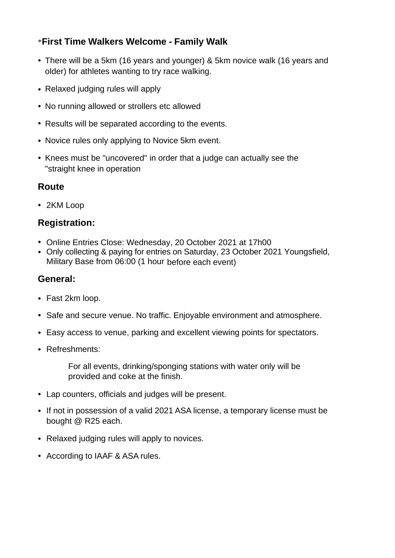#### \***First Time Walkers Welcome - Family Walk**

- There will be a 5km (16 years and younger) & 5km novice walk (16 years and older) for athletes wanting to try race walking.
- Relaxed judging rules will apply
- No running allowed or strollers etc allowed
- Results will be separated according to the events.
- Novice rules only applying to Novice 5km event.
- Knees must be "uncovered" in order that a judge can actually see the "straight knee in operation

#### **Route**

• 2KM Loop

#### **Registration:**

- Online Entries Close: Wednesday, 20 October 2021 at 17h00
- Only collecting & paying for entries on Saturday, 23 October 2021 Youngsfield, Military Base from 06:00 (1 hour before each event)

#### **General:**

- Fast 2km loop.
- Safe and secure venue. No traffic. Enjoyable environment and atmosphere.
- Easy access to venue, parking and excellent viewing points for spectators.
- Refreshments:

For all events, drinking/sponging stations with water only will be provided and coke at the finish.

- Lap counters, officials and judges will be present.
- If not in possession of a valid 2021 ASA license, a temporary license must be bought @ R25 each.
- Relaxed judging rules will apply to novices.
- According to IAAF & ASA rules.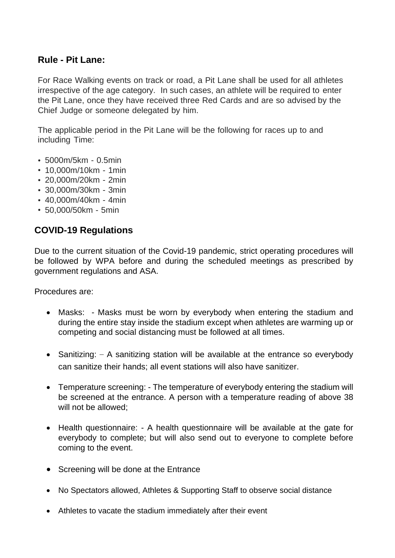#### **Rule - Pit Lane:**

For Race Walking events on track or road, a Pit Lane shall be used for all athletes irrespective of the age category. In such cases, an athlete will be required to enter the Pit Lane, once they have received three Red Cards and are so advised by the Chief Judge or someone delegated by him.

The applicable period in the Pit Lane will be the following for races up to and including Time:

- 5000m/5km 0.5min
- 10,000m/10km 1min
- 20,000m/20km 2min
- 30,000m/30km 3min
- 40,000m/40km 4min
- 50,000/50km 5min

#### **COVID-19 Regulations**

Due to the current situation of the Covid-19 pandemic, strict operating procedures will be followed by WPA before and during the scheduled meetings as prescribed by government regulations and ASA.

Procedures are:

- Masks: Masks must be worn by everybody when entering the stadium and during the entire stay inside the stadium except when athletes are warming up or competing and social distancing must be followed at all times.
- Sanitizing: A sanitizing station will be available at the entrance so everybody can sanitize their hands; all event stations will also have sanitizer.
- Temperature screening: The temperature of everybody entering the stadium will be screened at the entrance. A person with a temperature reading of above 38 will not be allowed;
- Health questionnaire: A health questionnaire will be available at the gate for everybody to complete; but will also send out to everyone to complete before coming to the event.
- Screening will be done at the Entrance
- No Spectators allowed, Athletes & Supporting Staff to observe social distance
- Athletes to vacate the stadium immediately after their event